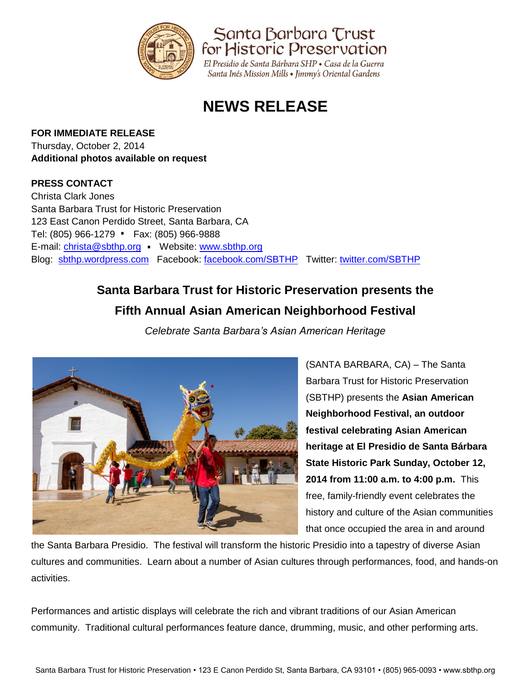

Santa Barbara Trust for Historic Preservation

El Presidio de Santa Bárbara SHP · Casa de la Guerra Santa Inés Mission Mills • Jimmy's Oriental Gardens

# **NEWS RELEASE**

## **FOR IMMEDIATE RELEASE**

Thursday, October 2, 2014 **Additional photos available on request** 

## **PRESS CONTACT**

Christa Clark Jones Santa Barbara Trust for Historic Preservation 123 East Canon Perdido Street, Santa Barbara, CA . Tel: (805) 966-1279 Fax: (805) 966-9888 .E-mail: [christa@sbthp.org](mailto:christa@sbthp.org) Website: [www.sbthp.org](http://www.sbthp.org/) Blog: [sbthp.wordpress.com](http://sbthp.wordpress.com/) Facebook: [facebook.com/SBTHP](http://www.facebook.com/SBTHP) Twitter: [twitter.com/SBTHP](http://twitter.com/SBTHP)

# **Santa Barbara Trust for Historic Preservation presents the Fifth Annual Asian American Neighborhood Festival**

*Celebrate Santa Barbara's Asian American Heritage*



(SANTA BARBARA, CA) – The Santa Barbara Trust for Historic Preservation (SBTHP) presents the **Asian American Neighborhood Festival, an outdoor festival celebrating Asian American heritage at El Presidio de Santa Bárbara State Historic Park Sunday, October 12, 2014 from 11:00 a.m. to 4:00 p.m.** This free, family-friendly event celebrates the history and culture of the Asian communities that once occupied the area in and around

the Santa Barbara Presidio. The festival will transform the historic Presidio into a tapestry of diverse Asian cultures and communities. Learn about a number of Asian cultures through performances, food, and hands-on activities.

Performances and artistic displays will celebrate the rich and vibrant traditions of our Asian American community. Traditional cultural performances feature dance, drumming, music, and other performing arts.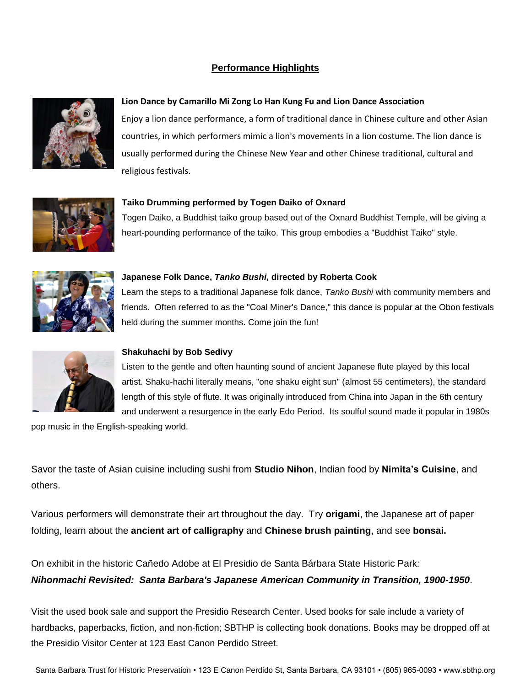### **Performance Highlights**



#### **Lion Dance by Camarillo Mi Zong Lo Han Kung Fu and Lion Dance Association**

Enjoy a lion dance performance, a form of traditional dance in Chinese culture and other Asian countries, in which performers mimic a lion's movements in a lion costume. The lion dance is usually performed during the Chinese New Year and other Chinese traditional, cultural and religious festivals.



Togen Daiko, a Buddhist taiko group based out of the Oxnard Buddhist Temple, will be giving a heart-pounding performance of the taiko. This group embodies a "Buddhist Taiko" style.



#### **Japanese Folk Dance,** *Tanko Bushi,* **directed by Roberta Cook**

**Taiko Drumming performed by Togen Daiko of Oxnard**

Learn the steps to a traditional Japanese folk dance, *Tanko Bushi* with community members and friends. Often referred to as the "Coal Miner's Dance," this dance is popular at the Obon festivals held during the summer months. Come join the fun!



#### **Shakuhachi by Bob Sedivy**

Listen to the gentle and often haunting sound of ancient Japanese flute played by this local artist. Shaku-hachi literally means, "one shaku eight sun" (almost 55 centimeters), the standard length of this style of flute. It was originally introduced from China into Japan in the 6th century and underwent a resurgence in the early Edo Period. Its soulful sound made it popular in 1980s

pop music in the English-speaking world.

Savor the taste of Asian cuisine including sushi from **Studio Nihon**, Indian food by **Nimita's Cuisine**, and others.

Various performers will demonstrate their art throughout the day. Try **origami**, the Japanese art of paper folding, learn about the **ancient art of calligraphy** and **Chinese brush painting**, and see **bonsai.**

On exhibit in the historic Cañedo Adobe at El Presidio de Santa Bárbara State Historic Park*: Nihonmachi Revisited: Santa Barbara's Japanese American Community in Transition, 1900-1950*.

Visit the used book sale and support the Presidio Research Center. Used books for sale include a variety of hardbacks, paperbacks, fiction, and non-fiction; SBTHP is collecting book donations. Books may be dropped off at the Presidio Visitor Center at 123 East Canon Perdido Street.

Santa Barbara Trust for Historic Preservation • 123 E Canon Perdido St, Santa Barbara, CA 93101 • (805) 965-0093 • www.sbthp.org